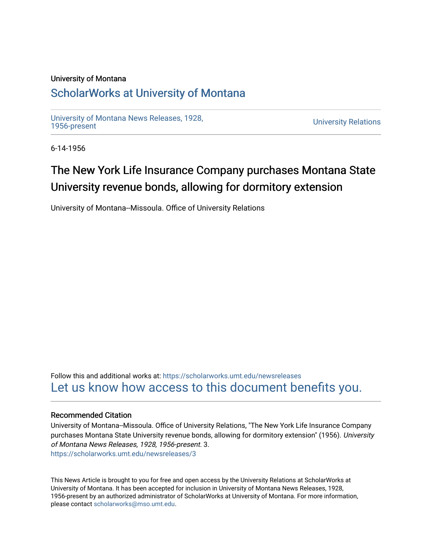### University of Montana

## [ScholarWorks at University of Montana](https://scholarworks.umt.edu/)

[University of Montana News Releases, 1928,](https://scholarworks.umt.edu/newsreleases) 

**University Relations** 

6-14-1956

# The New York Life Insurance Company purchases Montana State University revenue bonds, allowing for dormitory extension

University of Montana--Missoula. Office of University Relations

Follow this and additional works at: [https://scholarworks.umt.edu/newsreleases](https://scholarworks.umt.edu/newsreleases?utm_source=scholarworks.umt.edu%2Fnewsreleases%2F3&utm_medium=PDF&utm_campaign=PDFCoverPages) [Let us know how access to this document benefits you.](https://goo.gl/forms/s2rGfXOLzz71qgsB2) 

#### Recommended Citation

University of Montana--Missoula. Office of University Relations, "The New York Life Insurance Company purchases Montana State University revenue bonds, allowing for dormitory extension" (1956). University of Montana News Releases, 1928, 1956-present. 3. [https://scholarworks.umt.edu/newsreleases/3](https://scholarworks.umt.edu/newsreleases/3?utm_source=scholarworks.umt.edu%2Fnewsreleases%2F3&utm_medium=PDF&utm_campaign=PDFCoverPages)

This News Article is brought to you for free and open access by the University Relations at ScholarWorks at University of Montana. It has been accepted for inclusion in University of Montana News Releases, 1928, 1956-present by an authorized administrator of ScholarWorks at University of Montana. For more information, please contact [scholarworks@mso.umt.edu.](mailto:scholarworks@mso.umt.edu)